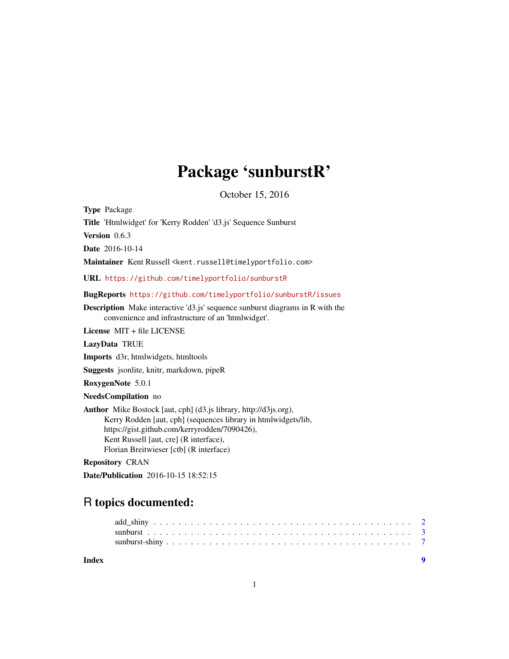## Package 'sunburstR'

October 15, 2016

<span id="page-0-0"></span>Type Package Title 'Htmlwidget' for 'Kerry Rodden' 'd3.js' Sequence Sunburst Version 0.6.3 Date 2016-10-14 Maintainer Kent Russell <kent.russell@timelyportfolio.com> URL <https://github.com/timelyportfolio/sunburstR> BugReports <https://github.com/timelyportfolio/sunburstR/issues> Description Make interactive 'd3.js' sequence sunburst diagrams in R with the convenience and infrastructure of an 'htmlwidget'. License MIT + file LICENSE LazyData TRUE Imports d3r, htmlwidgets, htmltools Suggests jsonlite, knitr, markdown, pipeR RoxygenNote 5.0.1 NeedsCompilation no Author Mike Bostock [aut, cph] (d3.js library, http://d3js.org), Kerry Rodden [aut, cph] (sequences library in htmlwidgets/lib, https://gist.github.com/kerryrodden/7090426), Kent Russell [aut, cre] (R interface), Florian Breitwieser [ctb] (R interface)

Repository CRAN

Date/Publication 2016-10-15 18:52:15

## R topics documented:

| Index |  |  |  |  |
|-------|--|--|--|--|
|       |  |  |  |  |
|       |  |  |  |  |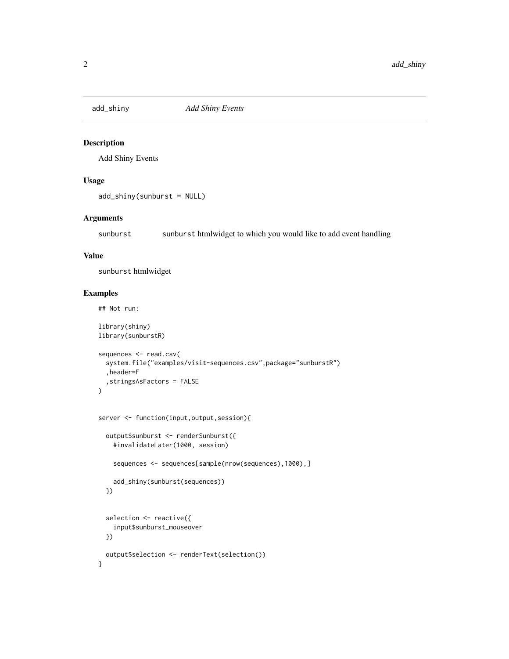<span id="page-1-0"></span>

#### Description

Add Shiny Events

#### Usage

```
add_shiny(sunburst = NULL)
```
#### Arguments

sunburst sunburst htmlwidget to which you would like to add event handling

#### Value

sunburst htmlwidget

#### Examples

}

## Not run:

```
library(shiny)
library(sunburstR)
sequences <- read.csv(
  system.file("examples/visit-sequences.csv",package="sunburstR")
  ,header=F
  ,stringsAsFactors = FALSE
\overline{)}server <- function(input,output,session){
  output$sunburst <- renderSunburst({
    #invalidateLater(1000, session)
    sequences <- sequences[sample(nrow(sequences),1000),]
   add_shiny(sunburst(sequences))
  })
  selection <- reactive({
    input$sunburst_mouseover
  })
  output$selection <- renderText(selection())
```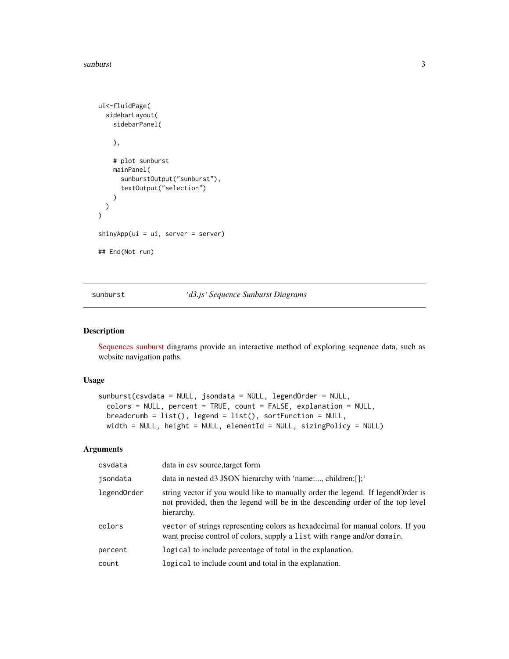#### <span id="page-2-0"></span>sunburst 3

```
ui<-fluidPage(
  sidebarLayout(
   sidebarPanel(
   ),
    # plot sunburst
   mainPanel(
      sunburstOutput("sunburst"),
      textOutput("selection")
   )
 )
)
shinyApp(ui = ui, server = server)
## End(Not run)
```
sunburst *'d3.js' Sequence Sunburst Diagrams*

#### Description

[Sequences sunburst](https://gist.github.com/kerryrodden/7090426) diagrams provide an interactive method of exploring sequence data, such as website navigation paths.

#### Usage

```
sunburst(csvdata = NULL, jsondata = NULL, legendOrder = NULL,
 colors = NULL, percent = TRUE, count = FALSE, explanation = NULL,
 breadcrumb = list(), legend = list(), sortFunction = NULL,
 width = NULL, height = NULL, elementId = NULL, sizingPolicy = NULL)
```
#### Arguments

| csvdata     | data in csy source, target form                                                                                                                                                  |
|-------------|----------------------------------------------------------------------------------------------------------------------------------------------------------------------------------|
| jsondata    | data in nested d3 JSON hierarchy with 'name:, children:[];'                                                                                                                      |
| legendOrder | string vector if you would like to manually order the legend. If legend Order is<br>not provided, then the legend will be in the descending order of the top level<br>hierarchy. |
| colors      | vector of strings representing colors as hexadecimal for manual colors. If you<br>want precise control of colors, supply a list with range and/or domain.                        |
| percent     | logical to include percentage of total in the explanation.                                                                                                                       |
| count       | logical to include count and total in the explanation.                                                                                                                           |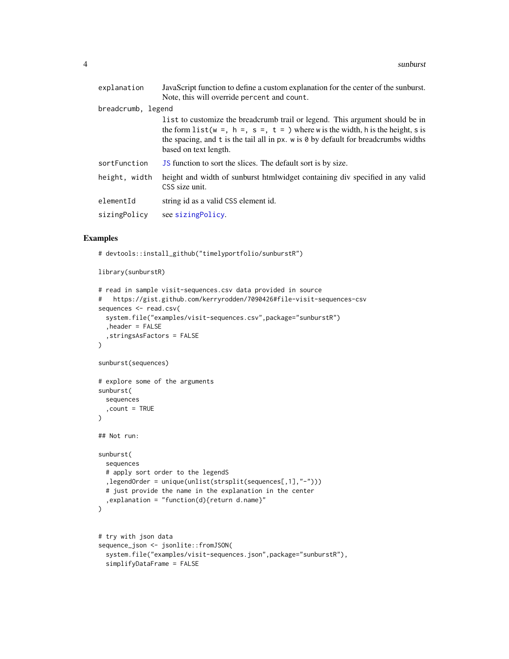<span id="page-3-0"></span>

| explanation        | JavaScript function to define a custom explanation for the center of the sunburst.                                                                                                                                                                                                                   |
|--------------------|------------------------------------------------------------------------------------------------------------------------------------------------------------------------------------------------------------------------------------------------------------------------------------------------------|
|                    | Note, this will override percent and count.                                                                                                                                                                                                                                                          |
| breadcrumb, legend |                                                                                                                                                                                                                                                                                                      |
|                    | l ist to customize the breadcrumb trail or legend. This argument should be in<br>the form list ( $w =$ , $h =$ , $s =$ , $t =$ ) where w is the width, h is the height, s is<br>the spacing, and t is the tail all in px. $w$ is $\theta$ by default for breadcrumbs widths<br>based on text length. |
| sortFunction       | <b>JS</b> function to sort the slices. The default sort is by size.                                                                                                                                                                                                                                  |
| height, width      | height and width of sunburst htmlwidget containing div specified in any valid<br>CSS size unit.                                                                                                                                                                                                      |
| elementId          | string id as a valid CSS element id.                                                                                                                                                                                                                                                                 |
| sizingPolicy       | see sizing Policy.                                                                                                                                                                                                                                                                                   |

#### Examples

# devtools::install\_github("timelyportfolio/sunburstR")

```
library(sunburstR)
```

```
# read in sample visit-sequences.csv data provided in source
# https://gist.github.com/kerryrodden/7090426#file-visit-sequences-csv
sequences <- read.csv(
  system.file("examples/visit-sequences.csv",package="sunburstR")
  ,header = FALSE
  ,stringsAsFactors = FALSE
\overline{)}sunburst(sequences)
# explore some of the arguments
sunburst(
  sequences
  ,count = TRUE
\mathcal{L}## Not run:
sunburst(
  sequences
  # apply sort order to the legendS
  ,legendOrder = unique(unlist(strsplit(sequences[,1],"-")))
  # just provide the name in the explanation in the center
  ,explanation = "function(d){return d.name}"
\overline{)}# try with json data
sequence_json <- jsonlite::fromJSON(
  system.file("examples/visit-sequences.json",package="sunburstR"),
  simplifyDataFrame = FALSE
```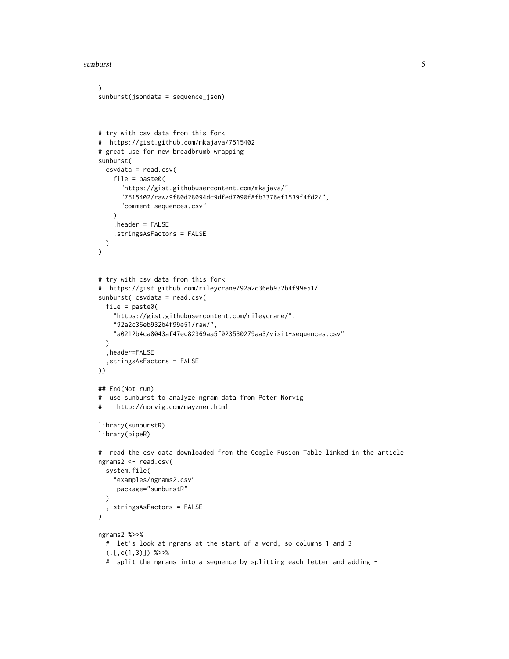sunburst 5 and 5 and 5 and 5 and 5 and 5 and 5 and 5 and 5 and 5 and 5 and 5 and 5 and 5 and 5 and 5 and 5 and 5 and 5 and 5 and 5 and 5 and 5 and 5 and 5 and 5 and 5 and 5 and 5 and 5 and 5 and 5 and 5 and 5 and 5 and 5 a

```
)
sunburst(jsondata = sequence_json)
# try with csv data from this fork
# https://gist.github.com/mkajava/7515402
# great use for new breadbrumb wrapping
sunburst(
  csvdata = read.csv(
    file = past@("https://gist.githubusercontent.com/mkajava/",
      "7515402/raw/9f80d28094dc9dfed7090f8fb3376ef1539f4fd2/",
      "comment-sequences.csv"
   )
    ,header = FALSE
    ,stringsAsFactors = FALSE
  )
)
# try with csv data from this fork
# https://gist.github.com/rileycrane/92a2c36eb932b4f99e51/
sunburst( csvdata = read.csv(
  file = paste0("https://gist.githubusercontent.com/rileycrane/",
    "92a2c36eb932b4f99e51/raw/",
    "a0212b4ca8043af47ec82369aa5f023530279aa3/visit-sequences.csv"
  \lambda,header=FALSE
  ,stringsAsFactors = FALSE
))
## End(Not run)
# use sunburst to analyze ngram data from Peter Norvig
# http://norvig.com/mayzner.html
library(sunburstR)
library(pipeR)
# read the csv data downloaded from the Google Fusion Table linked in the article
ngrams2 <- read.csv(
  system.file(
    "examples/ngrams2.csv"
    ,package="sunburstR"
  )
  , stringsAsFactors = FALSE
\mathcal{L}ngrams2 %>>%
  # let's look at ngrams at the start of a word, so columns 1 and 3
  (. [c(1,3)]) %>>%
  # split the ngrams into a sequence by splitting each letter and adding -
```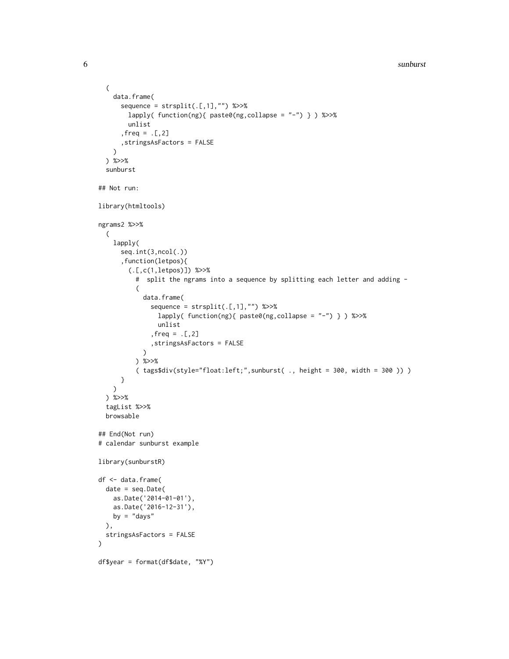```
6 sunburst 6 sunburst 6 sunburst 6 sunburst 6 sunburst 6 sunburst 6 sunburst 6 sunburst 6 sunburst 6 sunburst 6 sunburst 6 sunburst 6 sunburst 6 sunburst 6 sunburst 6 sunburst 6 sunburst
```

```
(
   data.frame(
      sequence = straight(.[, 1], "") %>>%
        lapply( function(ng){ paste0(ng,collapse = "-") } ) %>>%
        unlist
      , freq = .[ , 2],stringsAsFactors = FALSE
   )
  ) %>>%
  sunburst
## Not run:
library(htmltools)
ngrams2 %>>%
  (
   lapply(
      seq.int(3,ncol(.))
      ,function(letpos){
        (.[,c(1,letpos)]) %>>%
          # split the ngrams into a sequence by splitting each letter and adding -
          (
            data.frame(
              sequence = strsplit(.[,1], "") %>>%
                lapply( function(ng){ paste0(ng,collapse = "-") } ) %>>%
                unlist
              ,freq = .[,2]
              ,stringsAsFactors = FALSE
            )
          ) %>>%
          ( tags$div(style="float:left;",sunburst( ., height = 300, width = 300 )) )
      }
   )
  ) %>>%
  tagList %>>%
  browsable
## End(Not run)
# calendar sunburst example
library(sunburstR)
df <- data.frame(
  date = seq.Date(
   as.Date('2014-01-01'),
   as.Date('2016-12-31'),
   by = "days"),
  stringsAsFactors = FALSE
\mathcal{L}df$year = format(df$date, "%Y")
```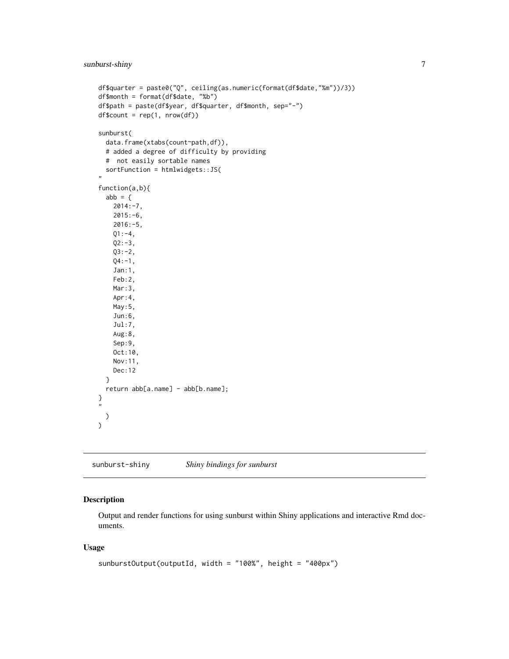```
df$quarter = paste0("Q", ceiling(as.numeric(format(df$date,"%m"))/3))
df$month = format(df$date, "%b")
df$path = paste(df$year, df$quarter, df$month, sep="-")
df$count = rep(1, nrow(df))
sunburst(
  data.frame(xtabs(count~path,df)),
  # added a degree of difficulty by providing
  # not easily sortable names
  sortFunction = htmlwidgets::JS(
"
function(a,b){
  abb = \{2014:-7,
    2015:-6,
    2016:-5,
    Q1: -4,Q2: -3,Q3:-2,
    Q4: -1,
    Jan:1,
    Feb:2,
    Mar:3,
    Apr:4,
    May:5,
    Jun:6,
    Jul:7,
    Aug:8,
    Sep:9,
    Oct:10,
    Nov:11,
    Dec:12
  }
  return abb[a.name] - abb[b.name];
}
^{\prime\prime})
\mathcal{L}
```
sunburst-shiny *Shiny bindings for sunburst*

#### Description

Output and render functions for using sunburst within Shiny applications and interactive Rmd documents.

#### Usage

```
sunburstOutput(outputId, width = "100%", height = "400px")
```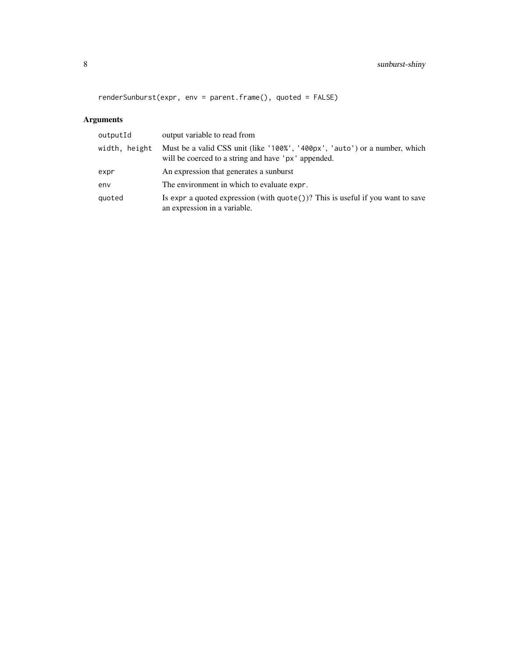## 8 sunburst-shiny

renderSunburst(expr, env = parent.frame(), quoted = FALSE)

### Arguments

| output variable to read from                                                                                                      |
|-----------------------------------------------------------------------------------------------------------------------------------|
| Must be a valid CSS unit (like '100%', '400px', 'auto') or a number, which<br>will be coerced to a string and have 'px' appended. |
| An expression that generates a sunburst                                                                                           |
| The environment in which to evaluate expr.                                                                                        |
| Is expr a quoted expression (with $\text{quote}()$ )? This is useful if you want to save<br>an expression in a variable.          |
|                                                                                                                                   |